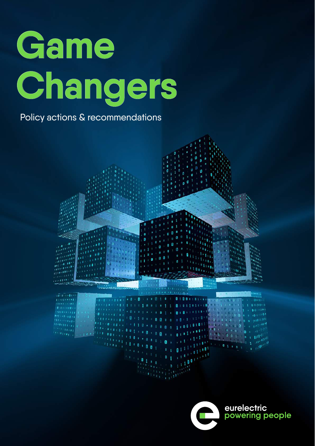

Policy actions & recommendations



eurelectric<br>powering people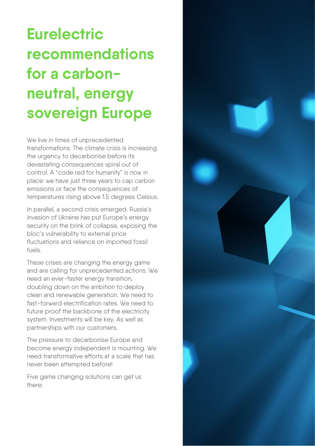# **Eurelectric recommendations for a carbonneutral, energy sovereign Europe**

We live in times of unprecedented transformations. The climate crisis is increasing the urgency to decarbonise before its devastating consequences spiral out of control. A "code red for humanity" is now in place: we have just three years to cap carbon emissions or face the consequences of temperatures rising above 1.5 degrees Celsius.

In parallel, a second crisis emerged. Russia's invasion of Ukraine has put Europe's energy security on the brink of collapse, exposing the bloc's vulnerability to external price fluctuations and reliance on imported fossil  $f_{\text{II}}$ els.

These crises are changing the energy game and are calling for unprecedented actions. We need an ever-faster energy transition, doubling down on the ambition to deploy clean and renewable generation. We need to fast-forward electrification rates. We need to future proof the backbone of the electricity system. Investments will be key. As well as partnerships with our customers.

The pressure to decarbonise Europe and become energy independent is mounting. We need transformative efforts at a scale that has never been attempted before!

Five game changing solutions can get us there:

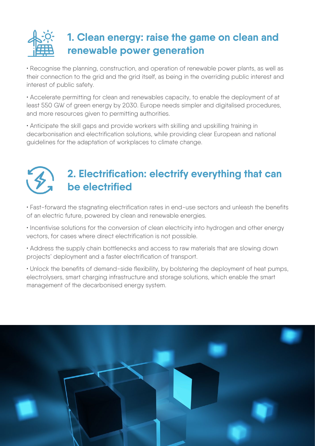

• Recognise the planning, construction, and operation of renewable power plants, as well as their connection to the grid and the grid itself, as being in the overriding public interest and interest of public safety.

• Accelerate permitting for clean and renewables capacity, to enable the deployment of at least 550 GW of green energy by 2030. Europe needs simpler and digitalised procedures, and more resources given to permitting authorities.

• Anticipate the skill gaps and provide workers with skilling and upskilling training in decarbonisation and electrification solutions, while providing clear European and national guidelines for the adaptation of workplaces to climate change.



### **2. Electrification: electrify everything that can be electrified**

• Fast-forward the stagnating electrification rates in end-use sectors and unleash the benefits of an electric future, powered by clean and renewable energies.

• Incentivise solutions for the conversion of clean electricity into hydrogen and other energy vectors, for cases where direct electrification is not possible.

• Address the supply chain bottlenecks and access to raw materials that are slowing down projects' deployment and a faster electrification of transport.

• Unlock the benefits of demand-side flexibility, by bolstering the deployment of heat pumps, electrolysers, smart charging infrastructure and storage solutions, which enable the smart management of the decarbonised energy system.

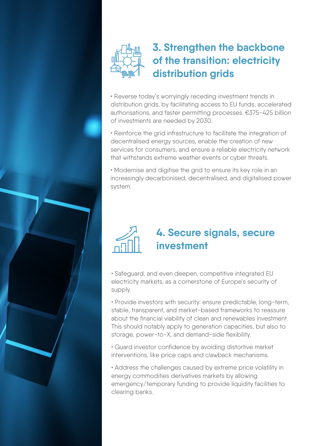

#### **3. Strengthen the backbone of the transition: electricity distribution grids**

• Reverse today's worryingly receding investment trends in distribution grids, by facilitating access to EU funds, accelerated authorisations, and faster permitting processes. €375-425 billion of investments are needed by 2030.

• Reinforce the grid infrastructure to facilitate the integration of decentralised energy sources, enable the creation of new services for consumers, and ensure a reliable electricity network that withstands extreme weather events or cyber threats.

• Modernise and digitise the grid to ensure its key role in an increasingly decarbonised, decentralised, and digitalised power system.



#### **4. Secure signals, secure investment**

• Safeguard, and even deepen, competitive integrated EU electricity markets, as a cornerstone of Europe's security of supply.

• Provide investors with security: ensure predictable, long-term, stable, transparent, and market-based frameworks to reassure about the financial viability of clean and renewables investment. This should notably apply to generation capacities, but also to storage, power-to-X, and demand-side flexibility.

• Guard investor confidence by avoiding distortive market interventions, like price caps and clawback mechanisms.

• Address the challenges caused by extreme price volatility in energy commodities derivatives markets by allowing emergency/temporary funding to provide liquidity facilities to clearing banks.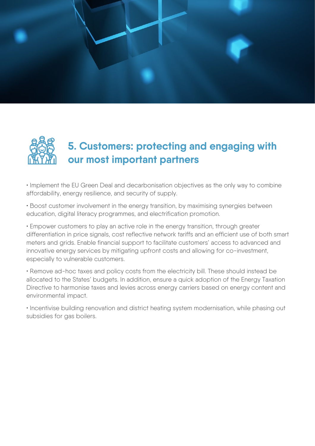



## **5. Customers: protecting and engaging with our most important partners**

• Implement the EU Green Deal and decarbonisation objectives as the only way to combine affordability, energy resilience, and security of supply.

• Boost customer involvement in the energy transition, by maximising synergies between education, digital literacy programmes, and electrification promotion.

• Empower customers to play an active role in the energy transition, through greater differentiation in price signals, cost reflective network tariffs and an efficient use of both smart meters and grids. Enable financial support to facilitate customers' access to advanced and innovative energy services by mitigating upfront costs and allowing for co-investment, especially to vulnerable customers.

• Remove ad-hoc taxes and policy costs from the electricity bill. These should instead be allocated to the States' budgets. In addition, ensure a quick adoption of the Energy Taxation Directive to harmonise taxes and levies across energy carriers based on energy content and environmental impact.

• Incentivise building renovation and district heating system modernisation, while phasing out subsidies for gas boilers.